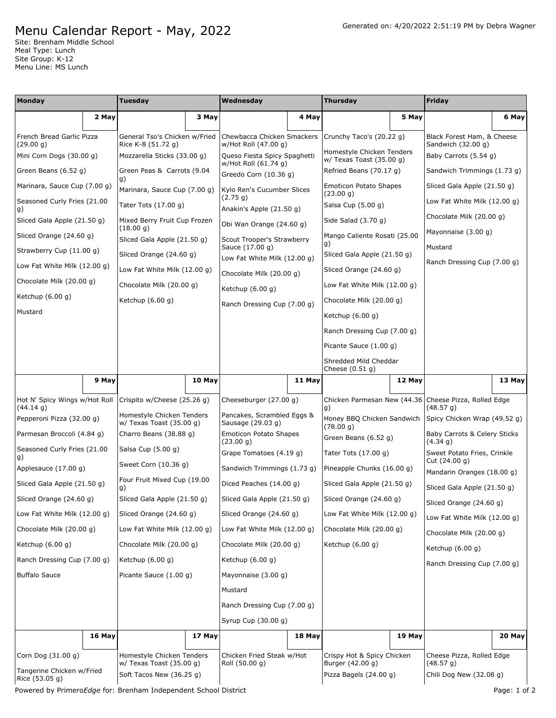## Menu Calendar Report - May, 2022

Site: Brenham Middle School Meal Type: Lunch Site Group: K-12 Menu Line: MS Lunch

| Monday                                      |        | <b>Tuesday</b>                                          |        | Wednesday                                          |        | <b>Thursday</b>                                       |                                                                         | <b>Friday</b>                                           |        |
|---------------------------------------------|--------|---------------------------------------------------------|--------|----------------------------------------------------|--------|-------------------------------------------------------|-------------------------------------------------------------------------|---------------------------------------------------------|--------|
|                                             | 2 May  |                                                         | 3 May  |                                                    | 4 May  |                                                       | 5 May                                                                   |                                                         | 6 May  |
| French Bread Garlic Pizza<br>(29.00 g)      |        | General Tso's Chicken w/Fried<br>Rice K-8 (51.72 g)     |        | Chewbacca Chicken Smackers<br>w/Hot Roll (47.00 g) |        | Crunchy Taco's (20.22 g)                              |                                                                         | Black Forest Ham, & Cheese<br>Sandwich (32.00 g)        |        |
| Mini Corn Dogs (30.00 g)                    |        | Mozzarella Sticks (33.00 g)                             |        | Queso Fiesta Spicy Spaghetti                       |        | Homestyle Chicken Tenders<br>w/ Texas Toast (35.00 g) |                                                                         | Baby Carrots (5.54 g)                                   |        |
| Green Beans (6.52 g)                        |        | Green Peas & Carrots (9.04                              |        | w/Hot Roll (61.74 g)<br>Greedo Corn (10.36 g)      |        | Refried Beans (70.17 g)                               |                                                                         | Sandwich Trimmings (1.73 g)                             |        |
| Marinara, Sauce Cup (7.00 g)                |        | g)<br>Marinara, Sauce Cup (7.00 g)                      |        | Kylo Ren's Cucumber Slices                         |        | <b>Emoticon Potato Shapes</b><br>(23.00 g)            |                                                                         | Sliced Gala Apple (21.50 g)                             |        |
| Seasoned Curly Fries (21.00<br>g)           |        | Tater Tots (17.00 g)                                    |        | (2.75 g)<br>Anakin's Apple (21.50 g)               |        | Salsa Cup (5.00 g)                                    |                                                                         | Low Fat White Milk (12.00 g)                            |        |
| Sliced Gala Apple (21.50 g)                 |        | Mixed Berry Fruit Cup Frozen                            |        | Obi Wan Orange (24.60 g)                           |        | Side Salad (3.70 g)                                   |                                                                         | Chocolate Milk (20.00 g)                                |        |
| Sliced Orange (24.60 g)                     |        | (18.00 g)<br>Sliced Gala Apple (21.50 g)                |        | Scout Trooper's Strawberry                         |        | Mango Caliente Rosati (25.00                          |                                                                         | Mayonnaise (3.00 g)                                     |        |
| Strawberry Cup (11.00 g)                    |        | Sliced Orange (24.60 g)                                 |        | Sauce (17.00 g)<br>Low Fat White Milk (12.00 g)    |        | g)<br>Sliced Gala Apple (21.50 g)                     |                                                                         | Mustard                                                 |        |
| Low Fat White Milk (12.00 g)                |        | Low Fat White Milk (12.00 g)                            |        | Chocolate Milk (20.00 g)                           |        | Sliced Orange (24.60 g)                               |                                                                         | Ranch Dressing Cup (7.00 g)                             |        |
| Chocolate Milk (20.00 g)                    |        | Chocolate Milk (20.00 g)                                |        | Ketchup $(6.00 g)$                                 |        | Low Fat White Milk (12.00 g)                          |                                                                         |                                                         |        |
| Ketchup $(6.00 g)$                          |        | Ketchup $(6.00 g)$                                      |        | Ranch Dressing Cup (7.00 g)                        |        | Chocolate Milk (20.00 g)                              |                                                                         |                                                         |        |
| Mustard                                     |        |                                                         |        |                                                    |        | Ketchup $(6.00 g)$                                    |                                                                         |                                                         |        |
|                                             |        |                                                         |        |                                                    |        | Ranch Dressing Cup (7.00 g)                           |                                                                         |                                                         |        |
|                                             |        |                                                         |        |                                                    |        | Picante Sauce (1.00 g)                                |                                                                         |                                                         |        |
|                                             |        |                                                         |        |                                                    |        | Shredded Mild Cheddar<br>Cheese (0.51 g)              |                                                                         |                                                         |        |
|                                             | 9 May  |                                                         | 10 May |                                                    | 11 May |                                                       | 12 May                                                                  |                                                         | 13 May |
| Hot N' Spicy Wings w/Hot Roll               |        | Crispito w/Cheese (25.26 g)                             |        | Cheeseburger (27.00 g)                             |        |                                                       |                                                                         | Chicken Parmesan New (44.36   Cheese Pizza, Rolled Edge |        |
| (44.14 g)<br>Pepperoni Pizza (32.00 g)      |        | Homestyle Chicken Tenders<br>$w/$ Texas Toast (35.00 g) |        | Pancakes, Scrambled Eggs &<br>Sausage (29.03 g)    |        | q)                                                    | (48.57 g)<br>Honey BBQ Chicken Sandwich<br>Spicy Chicken Wrap (49.52 g) |                                                         |        |
| Parmesan Broccoli (4.84 g)                  |        | Charro Beans (38.88 g)                                  |        | Emoticon Potato Shapes                             |        | (78.00 g)<br>Green Beans (6.52 g)                     |                                                                         | Baby Carrots & Celery Sticks                            |        |
| Seasoned Curly Fries (21.00                 |        | Salsa Cup (5.00 g)                                      |        | (23.00 g)<br>Grape Tomatoes (4.19 q)               |        | Tater Tots (17.00 g)                                  |                                                                         | (4.34 g)<br>Sweet Potato Fries, Crinkle                 |        |
| g)<br>Applesauce (17.00 g)                  |        | Sweet Corn (10.36 g)                                    |        | Sandwich Trimmings (1.73 g)                        |        | Pineapple Chunks (16.00 g)                            |                                                                         | Cut (24.00 g)<br>Mandarin Oranges (18.00 g)             |        |
| Sliced Gala Apple (21.50 g)                 |        | Four Fruit Mixed Cup (19.00<br>g)                       |        | Diced Peaches (14.00 g)                            |        | Sliced Gala Apple (21.50 g)                           |                                                                         | Sliced Gala Apple (21.50 q)                             |        |
| Sliced Orange (24.60 g)                     |        | Sliced Gala Apple (21.50 g)                             |        | Sliced Gala Apple (21.50 g)                        |        | Sliced Orange (24.60 g)                               |                                                                         | Sliced Orange (24.60 g)                                 |        |
| Low Fat White Milk (12.00 g)                |        | Sliced Orange (24.60 g)                                 |        | Sliced Orange (24.60 g)                            |        | Low Fat White Milk (12.00 g)                          |                                                                         | Low Fat White Milk (12.00 g)                            |        |
| Chocolate Milk (20.00 g)                    |        | Low Fat White Milk (12.00 g)                            |        | Low Fat White Milk (12.00 g)                       |        | Chocolate Milk (20.00 g)                              |                                                                         | Chocolate Milk (20.00 q)                                |        |
| Ketchup (6.00 g)                            |        | Chocolate Milk (20.00 g)                                |        | Chocolate Milk (20.00 g)                           |        | Ketchup $(6.00 q)$                                    |                                                                         | Ketchup (6.00 g)                                        |        |
| Ranch Dressing Cup (7.00 g)                 |        | Ketchup $(6.00 g)$                                      |        | Ketchup $(6.00 g)$                                 |        |                                                       |                                                                         | Ranch Dressing Cup (7.00 g)                             |        |
| <b>Buffalo Sauce</b>                        |        | Picante Sauce (1.00 g)                                  |        | Mayonnaise (3.00 g)                                |        |                                                       |                                                                         |                                                         |        |
|                                             |        |                                                         |        | Mustard                                            |        |                                                       |                                                                         |                                                         |        |
|                                             |        |                                                         |        | Ranch Dressing Cup (7.00 g)                        |        |                                                       |                                                                         |                                                         |        |
|                                             |        |                                                         |        | Syrup Cup (30.00 g)                                |        |                                                       |                                                                         |                                                         |        |
|                                             | 16 May |                                                         | 17 May |                                                    | 18 May |                                                       | 19 May                                                                  |                                                         | 20 May |
| Corn Dog (31.00 g)                          |        | Homestyle Chicken Tenders<br>w/ Texas Toast (35.00 g)   |        | Chicken Fried Steak w/Hot<br>Roll (50.00 g)        |        | Crispy Hot & Spicy Chicken<br>Burger (42.00 g)        |                                                                         | Cheese Pizza, Rolled Edge<br>(48.57 g)                  |        |
| Tangerine Chicken w/Fried<br>Rice (53.05 g) |        | Soft Tacos New (36.25 g)                                |        |                                                    |        | Pizza Bagels (24.00 g)                                |                                                                         | Chili Dog New (32.08 g)                                 |        |

Powered by PrimeroEdge for: Brenham Independent School District **Page: 1** of 2